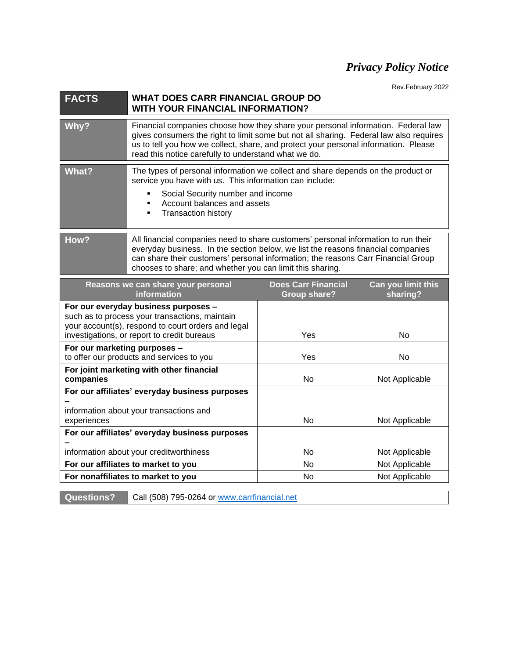## *Privacy Policy Notice*

Rev.February 2022

| <b>FACTS</b>                                                                                                                                                                                | <b>WHAT DOES CARR FINANCIAL GROUP DO</b><br><b>WITH YOUR FINANCIAL INFORMATION?</b>                                                                                                                                                                                                                                       |                                                   |                                |
|---------------------------------------------------------------------------------------------------------------------------------------------------------------------------------------------|---------------------------------------------------------------------------------------------------------------------------------------------------------------------------------------------------------------------------------------------------------------------------------------------------------------------------|---------------------------------------------------|--------------------------------|
| Why?                                                                                                                                                                                        | Financial companies choose how they share your personal information. Federal law<br>gives consumers the right to limit some but not all sharing. Federal law also requires<br>us to tell you how we collect, share, and protect your personal information. Please<br>read this notice carefully to understand what we do. |                                                   |                                |
| <b>What?</b>                                                                                                                                                                                | The types of personal information we collect and share depends on the product or<br>service you have with us. This information can include:<br>Social Security number and income<br>Account balances and assets<br><b>Transaction history</b>                                                                             |                                                   |                                |
| How?                                                                                                                                                                                        | All financial companies need to share customers' personal information to run their<br>everyday business. In the section below, we list the reasons financial companies<br>can share their customers' personal information; the reasons Carr Financial Group<br>chooses to share; and whether you can limit this sharing.  |                                                   |                                |
| Reasons we can share your personal<br>information                                                                                                                                           |                                                                                                                                                                                                                                                                                                                           | <b>Does Carr Financial</b><br><b>Group share?</b> | Can you limit this<br>sharing? |
| For our everyday business purposes -<br>such as to process your transactions, maintain<br>your account(s), respond to court orders and legal<br>investigations, or report to credit bureaus |                                                                                                                                                                                                                                                                                                                           | Yes                                               | No                             |
| For our marketing purposes -<br>to offer our products and services to you                                                                                                                   |                                                                                                                                                                                                                                                                                                                           | Yes                                               | No                             |
| For joint marketing with other financial<br>companies                                                                                                                                       |                                                                                                                                                                                                                                                                                                                           | No                                                | Not Applicable                 |
| For our affiliates' everyday business purposes<br>information about your transactions and<br>experiences                                                                                    |                                                                                                                                                                                                                                                                                                                           | No                                                | Not Applicable                 |
| For our affiliates' everyday business purposes                                                                                                                                              |                                                                                                                                                                                                                                                                                                                           |                                                   |                                |
| information about your creditworthiness                                                                                                                                                     |                                                                                                                                                                                                                                                                                                                           | No                                                | Not Applicable                 |
| For our affiliates to market to you                                                                                                                                                         |                                                                                                                                                                                                                                                                                                                           | No                                                | Not Applicable                 |
|                                                                                                                                                                                             | For nonaffiliates to market to you                                                                                                                                                                                                                                                                                        | No                                                | Not Applicable                 |

Questions? Call (508) 795-0264 or [www.carrfinancial.net](http://www.carrfinancial.net/)